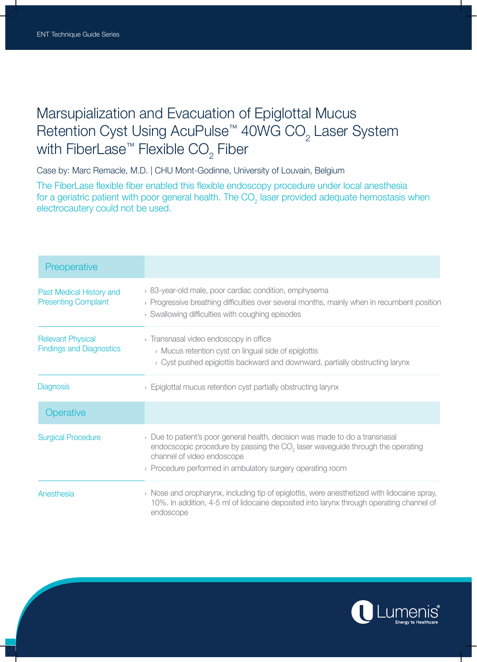## Marsupialization and Evacuation of Epiglottal Mucus Retention Cyst Using AcuPulse™ 40WG CO $_{\textrm{\tiny{2}}}$  Laser System with FiberLase™ Flexible CO $_2$  Fiber

Case by: Marc Remacle, M.D. | CHU Mont-Godinne, University of Louvain, Belgium

The FiberLase flexible fiber enabled this flexible endoscopy procedure under local anesthesia for a geriatric patient with poor general health. The CO<sub>2</sub> laser provided adequate hemostasis when electrocautery could not be used.

| Preoperative                                                |                                                                                                                                                                                                                                                                          |
|-------------------------------------------------------------|--------------------------------------------------------------------------------------------------------------------------------------------------------------------------------------------------------------------------------------------------------------------------|
| Past Medical History and<br><b>Presenting Complaint</b>     | > 83-year-old male, poor cardiac condition, emphysema<br>> Progressive breathing difficulties over several months, mainly when in recumbent position<br>> Swallowing difficulties with coughing episodes                                                                 |
| <b>Relevant Physical</b><br><b>Findings and Diagnostics</b> | > Transnasal video endoscopy in office<br>> Mucus retention cyst on lingual side of epiglottis<br>> Cyst pushed epiglottis backward and downward, partially obstructing larynx                                                                                           |
| <b>Diagnosis</b>                                            | $\rightarrow$ Epiglottal mucus retention cyst partially obstructing larynx                                                                                                                                                                                               |
| Operative                                                   |                                                                                                                                                                                                                                                                          |
| <b>Surgical Procedure</b>                                   | $\rightarrow$ Due to patient's poor general health, decision was made to do a transnasal<br>endocscopic procedure by passing the $CO2$ laser waveguide through the operating<br>channel of video endoscope<br>> Procedure performed in ambulatory surgery operating room |
| Anesthesia                                                  | $\rightarrow$ Nose and oropharynx, including tip of epiglottis, were anesthetized with lidocaine spray,<br>10%. In addition, 4-5 ml of lidocaine deposited into larynx through operating channel of<br>endoscope                                                         |

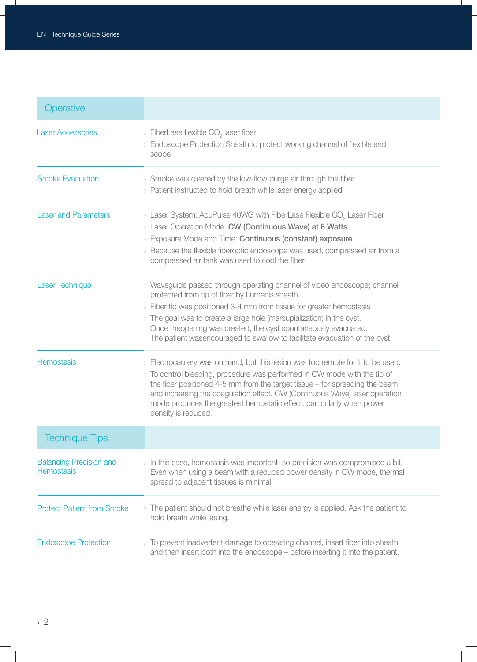| Operative                                           |                                                                                                                                                                                                                                                                                                                                                                                                                                        |
|-----------------------------------------------------|----------------------------------------------------------------------------------------------------------------------------------------------------------------------------------------------------------------------------------------------------------------------------------------------------------------------------------------------------------------------------------------------------------------------------------------|
| <b>Laser Accessories</b>                            | $\rightarrow$ FiberLase flexible CO <sub>2</sub> laser fiber<br>> Endoscope Protection Sheath to protect working channel of flexible end<br>scope                                                                                                                                                                                                                                                                                      |
| <b>Smoke Evacuation</b>                             | $\rightarrow$ Smoke was cleared by the low-flow purge air through the fiber<br>> Patient instructed to hold breath while laser energy applied                                                                                                                                                                                                                                                                                          |
| <b>Laser and Parameters</b>                         | $\rightarrow$ Laser System: AcuPulse 40WG with FiberLase Flexible CO <sub>2</sub> Laser Fiber<br>> Laser Operation Mode: CW (Continuous Wave) at 8 Watts<br>> Exposure Mode and Time: Continuous (constant) exposure<br>$\rightarrow$ Because the flexible fiberoptic endoscope was used, compressed air from a<br>compressed air tank was used to cool the fiber                                                                      |
| <b>Laser Technique</b>                              | > Waveguide passed through operating channel of video endoscope; channel<br>protected from tip of fiber by Lumenis sheath<br>> Fiber tip was positioned 3-4 mm from tissue for greater hemostasis<br>$\rightarrow$ The goal was to create a large hole (marsupialization) in the cyst.<br>Once theopening was created, the cyst spontaneously evacuated.<br>The patient wasencouraged to swallow to facilitate evacuation of the cyst. |
| <b>Hemostasis</b>                                   | > Electrocautery was on hand, but this lesion was too remote for it to be used.<br>> To control bleeding, procedure was performed in CW mode with the tip of<br>the fiber positioned 4-5 mm from the target tissue $-$ for spreading the beam<br>and increasing the coagulation effect. CW (Continuous Wave) laser operation<br>mode produces the greatest hemostatic effect, particularly when power<br>density is reduced.           |
| <b>Technique Tips</b>                               |                                                                                                                                                                                                                                                                                                                                                                                                                                        |
| <b>Balancing Precision and</b><br><b>Hemostasis</b> | $\rightarrow$ In this case, hemostasis was important, so precision was compromised a bit.<br>Even when using a beam with a reduced power density in CW mode, thermal<br>spread to adjacent tissues is minimal                                                                                                                                                                                                                          |
| <b>Protect Patient from Smoke</b>                   | > The patient should not breathe while laser energy is applied. Ask the patient to<br>hold breath while lasing.                                                                                                                                                                                                                                                                                                                        |
| <b>Endoscope Protection</b>                         | $\rightarrow$ To prevent inadvertent damage to operating channel, insert fiber into sheath<br>and then insert both into the endoscope – before inserting it into the patient.                                                                                                                                                                                                                                                          |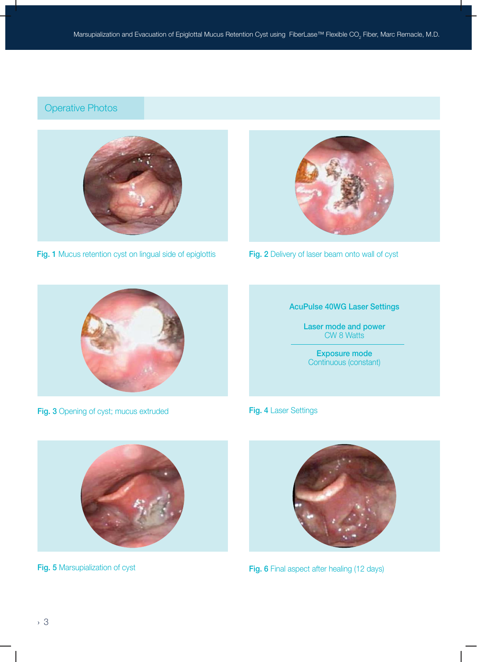## Operative Photos



Fig. 1 Mucus retention cyst on lingual side of epiglottis



Fig. 2 Delivery of laser beam onto wall of cyst



Fig. 3 Opening of cyst; mucus extruded



Laser mode and power CW 8 Watts

Exposure mode Continuous (constant)

Fig. 4 Laser Settings



Fig. 5 Marsupialization of cyst



Fig. 6 Final aspect after healing (12 days)